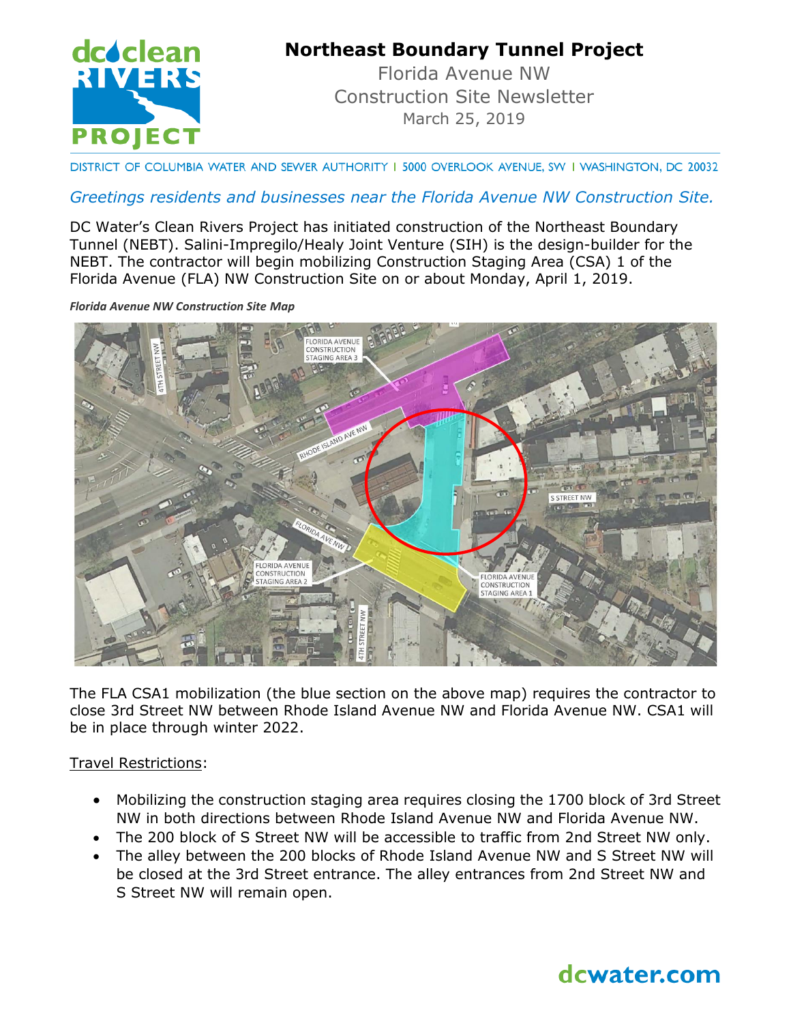

## **Northeast Boundary Tunnel Project**

Florida Avenue NW Construction Site Newsletter March 25, 2019

DISTRICT OF COLUMBIA WATER AND SEWER AUTHORITY I 5000 OVERLOOK AVENUE, SW I WASHINGTON, DC 20032

### *Greetings residents and businesses near the Florida Avenue NW Construction Site.*

DC Water's Clean Rivers Project has initiated construction of the Northeast Boundary Tunnel (NEBT). Salini-Impregilo/Healy Joint Venture (SIH) is the design-builder for the NEBT. The contractor will begin mobilizing Construction Staging Area (CSA) 1 of the Florida Avenue (FLA) NW Construction Site on or about Monday, April 1, 2019.

*Florida Avenue NW Construction Site Map*



The FLA CSA1 mobilization (the blue section on the above map) requires the contractor to close 3rd Street NW between Rhode Island Avenue NW and Florida Avenue NW. CSA1 will be in place through winter 2022.

Travel Restrictions:

- Mobilizing the construction staging area requires closing the 1700 block of 3rd Street NW in both directions between Rhode Island Avenue NW and Florida Avenue NW.
- The 200 block of S Street NW will be accessible to traffic from 2nd Street NW only.
- The alley between the 200 blocks of Rhode Island Avenue NW and S Street NW will be closed at the 3rd Street entrance. The alley entrances from 2nd Street NW and S Street NW will remain open.

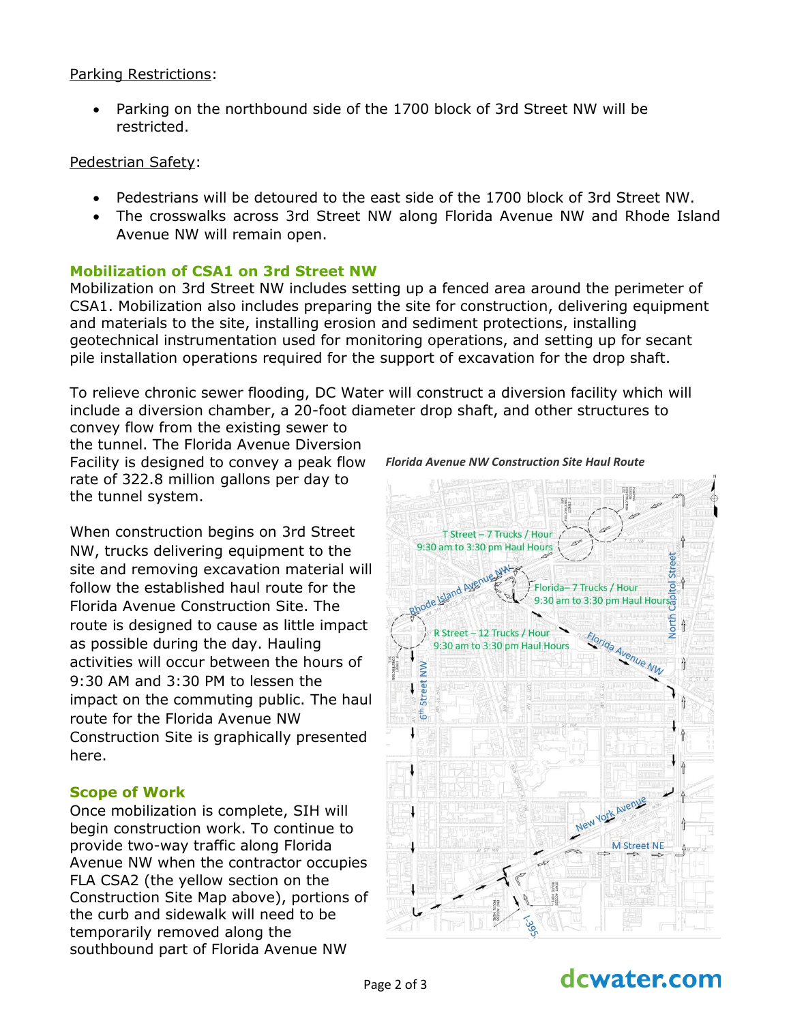### Parking Restrictions:

 Parking on the northbound side of the 1700 block of 3rd Street NW will be restricted.

### Pedestrian Safety:

- Pedestrians will be detoured to the east side of the 1700 block of 3rd Street NW.
- The crosswalks across 3rd Street NW along Florida Avenue NW and Rhode Island Avenue NW will remain open.

### **Mobilization of CSA1 on 3rd Street NW**

Mobilization on 3rd Street NW includes setting up a fenced area around the perimeter of CSA1. Mobilization also includes preparing the site for construction, delivering equipment and materials to the site, installing erosion and sediment protections, installing geotechnical instrumentation used for monitoring operations, and setting up for secant pile installation operations required for the support of excavation for the drop shaft.

To relieve chronic sewer flooding, DC Water will construct a diversion facility which will include a diversion chamber, a 20-foot diameter drop shaft, and other structures to

convey flow from the existing sewer to the tunnel. The Florida Avenue Diversion Facility is designed to convey a peak flow rate of 322.8 million gallons per day to the tunnel system.

When construction begins on 3rd Street NW, trucks delivering equipment to the site and removing excavation material will follow the established haul route for the Florida Avenue Construction Site. The route is designed to cause as little impact as possible during the day. Hauling activities will occur between the hours of 9:30 AM and 3:30 PM to lessen the impact on the commuting public. The haul route for the Florida Avenue NW Construction Site is graphically presented here.

### **Scope of Work**

Once mobilization is complete, SIH will begin construction work. To continue to provide two-way traffic along Florida Avenue NW when the contractor occupies FLA CSA2 (the yellow section on the Construction Site Map above), portions of the curb and sidewalk will need to be temporarily removed along the southbound part of Florida Avenue NW



#### *Florida Avenue NW Construction Site Haul Route*

# dcwater.com